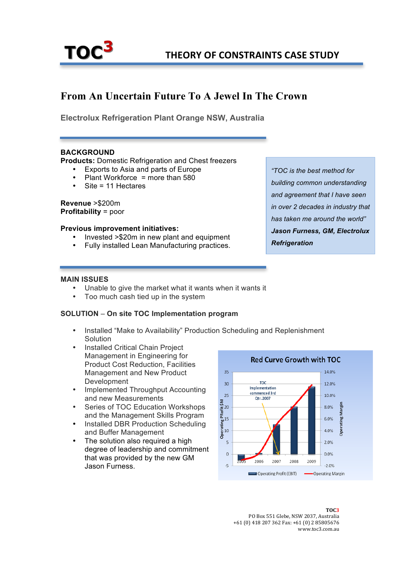

# **From An Uncertain Future To A Jewel In The Crown**

**Electrolux Refrigeration Plant Orange NSW, Australia**

### **BACKGROUND**

**Products:** Domestic Refrigeration and Chest freezers

- Exports to Asia and parts of Europe
- Plant Workforce = more than  $580$
- Site = 11 Hectares

**Revenue** >\$200m **Profitability** = poor

#### **Previous improvement initiatives:**

- Invested >\$20m in new plant and equipment
- Fully installed Lean Manufacturing practices.

*"TOC is the best method for building common understanding and agreement that I have seen in over 2 decades in industry that has taken me around the world" Jason Furness, GM, Electrolux Refrigeration*

#### **MAIN ISSUES**

- Unable to give the market what it wants when it wants it
- Too much cash tied up in the system

#### **SOLUTION** – **On site TOC Implementation program**

- Installed "Make to Availability" Production Scheduling and Replenishment Solution
- Installed Critical Chain Project Management in Engineering for Product Cost Reduction, Facilities Management and New Product Development
- Implemented Throughput Accounting and new Measurements
- Series of TOC Education Workshops and the Management Skills Program
- Installed DBR Production Scheduling and Buffer Management
- The solution also required a high degree of leadership and commitment that was provided by the new GM Jason Furness.



**TOC3** PO Box 551 Glebe, NSW 2037, Australia +61 (0) 418 207 362 Fax: +61 (0) 2 85805676 www.toc3.com.au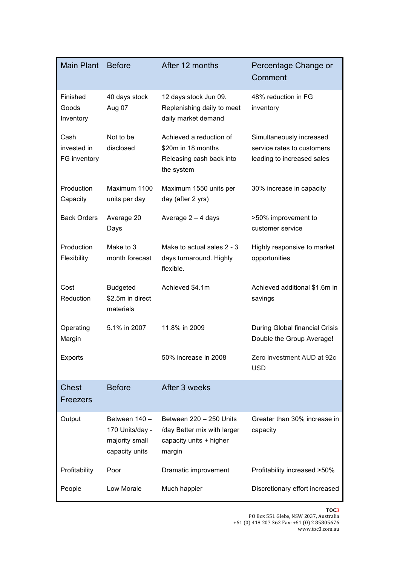| <b>Main Plant</b>                   | <b>Before</b>                                                        | After 12 months                                                                             | Percentage Change or<br>Comment                                                      |
|-------------------------------------|----------------------------------------------------------------------|---------------------------------------------------------------------------------------------|--------------------------------------------------------------------------------------|
| Finished<br>Goods<br>Inventory      | 40 days stock<br>Aug 07                                              | 12 days stock Jun 09.<br>Replenishing daily to meet<br>daily market demand                  | 48% reduction in FG<br>inventory                                                     |
| Cash<br>invested in<br>FG inventory | Not to be<br>disclosed                                               | Achieved a reduction of<br>\$20m in 18 months<br>Releasing cash back into<br>the system     | Simultaneously increased<br>service rates to customers<br>leading to increased sales |
| Production<br>Capacity              | Maximum 1100<br>units per day                                        | Maximum 1550 units per<br>day (after 2 yrs)                                                 | 30% increase in capacity                                                             |
| <b>Back Orders</b>                  | Average 20<br>Days                                                   | Average $2 - 4$ days                                                                        | >50% improvement to<br>customer service                                              |
| Production<br>Flexibility           | Make to 3<br>month forecast                                          | Make to actual sales 2 - 3<br>days turnaround. Highly<br>flexible.                          | Highly responsive to market<br>opportunities                                         |
| Cost<br>Reduction                   | <b>Budgeted</b><br>\$2.5m in direct<br>materials                     | Achieved \$4.1m                                                                             | Achieved additional \$1.6m in<br>savings                                             |
| Operating<br>Margin                 | 5.1% in 2007                                                         | 11.8% in 2009                                                                               | During Global financial Crisis<br>Double the Group Average!                          |
| Exports                             |                                                                      | 50% increase in 2008                                                                        | Zero investment AUD at 92c<br><b>USD</b>                                             |
| <b>Chest</b><br>Freezers            | <b>Before</b>                                                        | After 3 weeks                                                                               |                                                                                      |
| Output                              | Between 140 -<br>170 Units/day -<br>majority small<br>capacity units | Between 220 - 250 Units<br>/day Better mix with larger<br>capacity units + higher<br>margin | Greater than 30% increase in<br>capacity                                             |
| Profitability                       | Poor                                                                 | Dramatic improvement                                                                        | Profitability increased >50%                                                         |
| People                              | Low Morale                                                           | Much happier                                                                                | Discretionary effort increased                                                       |

#### **TOC3**